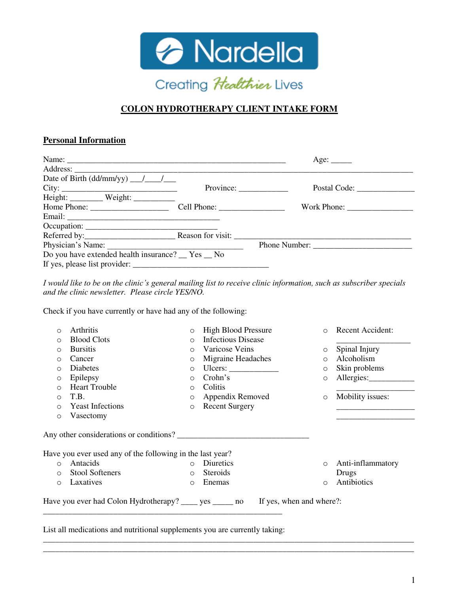

# **COLON HYDROTHERAPY CLIENT INTAKE FORM**

#### **Personal Information**

|                                                                                                                                                                                                                                                                                                                                                                                                                  |                                                              | Age: $\_\_$   |
|------------------------------------------------------------------------------------------------------------------------------------------------------------------------------------------------------------------------------------------------------------------------------------------------------------------------------------------------------------------------------------------------------------------|--------------------------------------------------------------|---------------|
|                                                                                                                                                                                                                                                                                                                                                                                                                  |                                                              |               |
|                                                                                                                                                                                                                                                                                                                                                                                                                  |                                                              |               |
| City:                                                                                                                                                                                                                                                                                                                                                                                                            | Province: $\frac{1}{\sqrt{1-\frac{1}{2}} \cdot \frac{1}{2}}$ |               |
| Height: ___________ Weight: _____________                                                                                                                                                                                                                                                                                                                                                                        |                                                              |               |
| Home Phone: $\frac{1}{\sqrt{1-\frac{1}{2}}}\left\{ \frac{1}{2}, \frac{1}{2}, \frac{1}{2}, \frac{1}{2}, \frac{1}{2}, \frac{1}{2}, \frac{1}{2}, \frac{1}{2}, \frac{1}{2}, \frac{1}{2}, \frac{1}{2}, \frac{1}{2}, \frac{1}{2}, \frac{1}{2}, \frac{1}{2}, \frac{1}{2}, \frac{1}{2}, \frac{1}{2}, \frac{1}{2}, \frac{1}{2}, \frac{1}{2}, \frac{1}{2}, \frac{1}{2}, \frac{1}{2}, \frac{1}{2}, \frac{1}{2}, \frac{1}{2$ |                                                              |               |
|                                                                                                                                                                                                                                                                                                                                                                                                                  |                                                              |               |
|                                                                                                                                                                                                                                                                                                                                                                                                                  |                                                              |               |
|                                                                                                                                                                                                                                                                                                                                                                                                                  |                                                              |               |
| Physician's Name:                                                                                                                                                                                                                                                                                                                                                                                                |                                                              | Phone Number: |
| Do you have extended health insurance? Tes No                                                                                                                                                                                                                                                                                                                                                                    |                                                              |               |
|                                                                                                                                                                                                                                                                                                                                                                                                                  |                                                              |               |

*I would like to be on the clinic's general mailing list to receive clinic information, such as subscriber specials and the clinic newsletter. Please circle YES/NO.*

Check if you have currently or have had any of the following:

| $\circ$ | Arthritis                                                                                            | $\circ$ | <b>High Blood Pressure</b>                                                  | $\circ$ | Recent Accident:  |
|---------|------------------------------------------------------------------------------------------------------|---------|-----------------------------------------------------------------------------|---------|-------------------|
| $\circ$ | <b>Blood Clots</b>                                                                                   | $\circ$ | <b>Infectious Disease</b>                                                   |         |                   |
| $\circ$ | <b>Bursitis</b>                                                                                      | $\circ$ | Varicose Veins                                                              | $\circ$ | Spinal Injury     |
| $\circ$ | Cancer                                                                                               | $\circ$ | Migraine Headaches                                                          | $\circ$ | Alcoholism        |
| $\circ$ | Diabetes                                                                                             | $\circ$ | Ulcers: $\frac{1}{\sqrt{1-\frac{1}{2}}\cdot\frac{1}{\sqrt{1-\frac{1}{2}}}}$ | $\circ$ | Skin problems     |
| $\circ$ | Epilepsy                                                                                             | $\circ$ | Crohn's                                                                     | $\circ$ | Allergies:        |
| $\circ$ | <b>Heart Trouble</b>                                                                                 | $\circ$ | Colitis                                                                     |         |                   |
| $\circ$ | T.B.                                                                                                 | $\circ$ | Appendix Removed                                                            | $\circ$ | Mobility issues:  |
| $\circ$ | <b>Yeast Infections</b>                                                                              | $\circ$ | <b>Recent Surgery</b>                                                       |         |                   |
| $\circ$ | Vasectomy                                                                                            |         |                                                                             |         |                   |
|         | Any other considerations or conditions?<br>Have you ever used any of the following in the last year? |         |                                                                             |         |                   |
| $\circ$ | <b>Antacids</b>                                                                                      | $\circ$ | Diuretics                                                                   | $\circ$ | Anti-inflammatory |
| $\circ$ | Stool Softeners                                                                                      | $\circ$ | <b>Steroids</b>                                                             |         | Drugs             |
| $\circ$ | Laxatives                                                                                            | $\circ$ | Enemas                                                                      | $\circ$ | Antibiotics       |
|         |                                                                                                      |         |                                                                             |         |                   |

\_\_\_\_\_\_\_\_\_\_\_\_\_\_\_\_\_\_\_\_\_\_\_\_\_\_\_\_\_\_\_\_\_\_\_\_\_\_\_\_\_\_\_\_\_\_\_\_\_\_\_\_\_\_\_\_\_\_\_\_\_\_\_\_\_\_\_\_\_\_\_\_\_\_\_\_\_\_\_\_\_\_\_\_\_\_\_\_\_\_ \_\_\_\_\_\_\_\_\_\_\_\_\_\_\_\_\_\_\_\_\_\_\_\_\_\_\_\_\_\_\_\_\_\_\_\_\_\_\_\_\_\_\_\_\_\_\_\_\_\_\_\_\_\_\_\_\_\_\_\_\_\_\_\_\_\_\_\_\_\_\_\_\_\_\_\_\_\_\_\_\_\_\_\_\_\_\_\_\_\_

List all medications and nutritional supplements you are currently taking: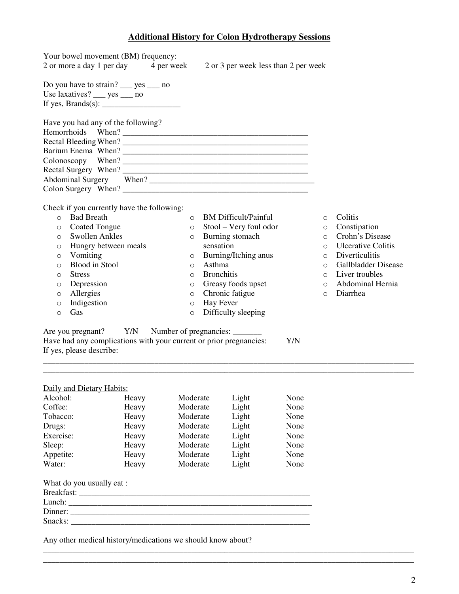#### **Additional History for Colon Hydrotherapy Sessions**

| Your bowel movement (BM) frequency:                                          |          |                              |         |                           |
|------------------------------------------------------------------------------|----------|------------------------------|---------|---------------------------|
| 2 or more a day 1 per day 4 per week<br>2 or 3 per week less than 2 per week |          |                              |         |                           |
| Do you have to strain? $\_\_\$ yes $\_\_\$ no                                |          |                              |         |                           |
| Use laxatives? $\_\_\$ yes $\_\_\$ no                                        |          |                              |         |                           |
| If yes, Brands(s): $\frac{1}{2}$                                             |          |                              |         |                           |
| Have you had any of the following?                                           |          |                              |         |                           |
| Hemorrhoids When?                                                            |          |                              |         |                           |
|                                                                              |          |                              |         |                           |
|                                                                              |          |                              |         |                           |
|                                                                              |          |                              |         |                           |
|                                                                              |          |                              |         |                           |
|                                                                              |          |                              |         |                           |
|                                                                              |          |                              |         |                           |
|                                                                              |          |                              |         |                           |
| Check if you currently have the following:                                   |          |                              |         |                           |
| <b>Bad Breath</b><br>$\Omega$                                                | $\Omega$ | <b>BM</b> Difficult/Painful  | $\circ$ | Colitis                   |
| o Coated Tongue                                                              | $\circ$  | Stool – Very foul odor       | $\circ$ | Constipation              |
| <b>Swollen Ankles</b><br>$\circ$                                             | $\circ$  | Burning stomach              | $\circ$ | Crohn's Disease           |
| Hungry between meals<br>$\circ$                                              |          | sensation                    | $\circ$ | <b>Ulcerative Colitis</b> |
| Vomiting<br>$\circ$                                                          |          | $\circ$ Burning/Itching anus | $\circ$ | Diverticulitis            |

o Asthma o Bronchitis

o Greasy foods upset o Chronic fatigue o Hay Fever

o Difficulty sleeping

\_\_\_\_\_\_\_\_\_\_\_\_\_\_\_\_\_\_\_\_\_\_\_\_\_\_\_\_\_\_\_\_\_\_\_\_\_\_\_\_\_\_\_\_\_\_\_\_\_\_\_\_\_\_\_\_\_\_\_\_\_\_\_\_\_\_\_\_\_\_\_\_\_\_\_\_\_\_\_\_\_\_\_\_\_\_\_\_\_\_ \_\_\_\_\_\_\_\_\_\_\_\_\_\_\_\_\_\_\_\_\_\_\_\_\_\_\_\_\_\_\_\_\_\_\_\_\_\_\_\_\_\_\_\_\_\_\_\_\_\_\_\_\_\_\_\_\_\_\_\_\_\_\_\_\_\_\_\_\_\_\_\_\_\_\_\_\_\_\_\_\_\_\_\_\_\_\_\_\_\_

| Daily and Dietary Habits: |       |          |       |      |  |
|---------------------------|-------|----------|-------|------|--|
| Alcohol:                  | Heavy | Moderate | Light | None |  |
| Coffee:                   | Heavy | Moderate | Light | None |  |
| Tobacco:                  | Heavy | Moderate | Light | None |  |
| Drugs:                    | Heavy | Moderate | Light | None |  |
| Exercise:                 | Heavy | Moderate | Light | None |  |
| Sleep:                    | Heavy | Moderate | Light | None |  |
| Appetite:                 | Heavy | Moderate | Light | None |  |
| Water:                    | Heavy | Moderate | Light | None |  |

Have had any complications with your current or prior pregnancies: Y/N

Are you pregnant? Y/N Number of pregnancies: \_\_\_\_\_\_\_

o Blood in Stool

o Stress o Depression o Allergies o Indigestion

o Gas

If yes, please describe:

| What do you usually eat : |
|---------------------------|
| Breakfast:                |
| Lunch:                    |
| Dinner:                   |
| Snacks:                   |

Any other medical history/medications we should know about?

o Gallbladder Disease o Liver troubles o Abdominal Hernia

o Diarrhea